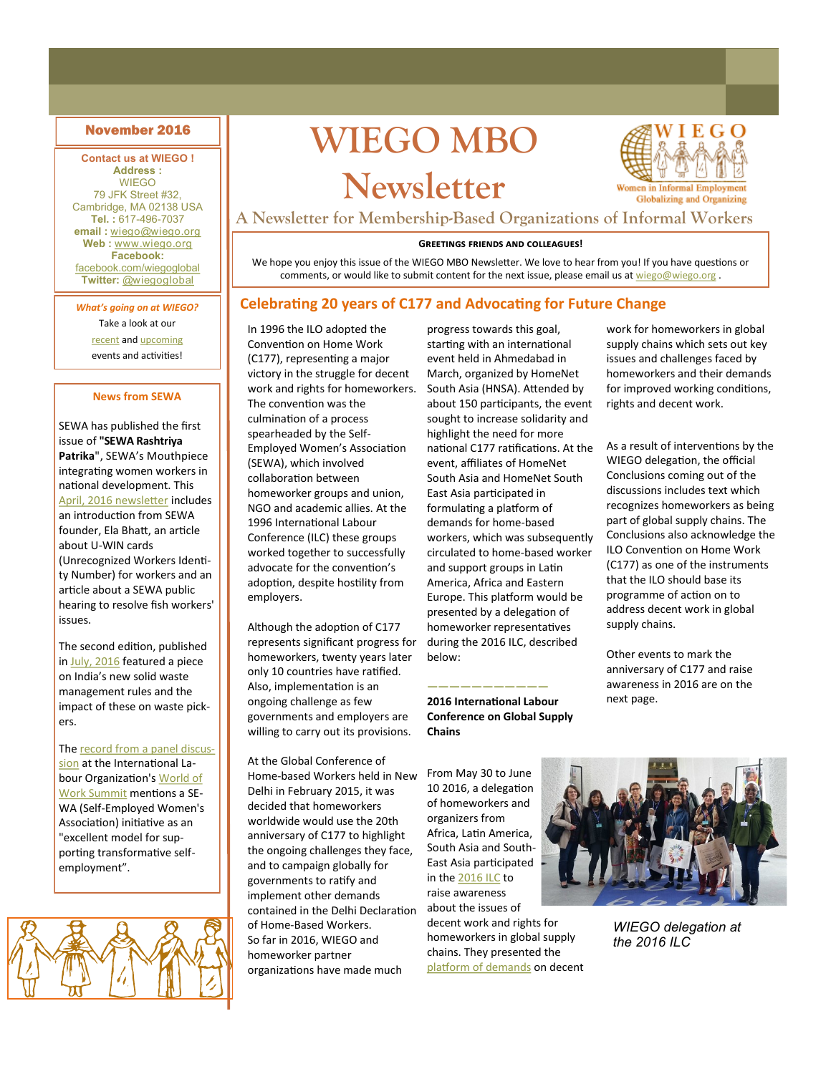#### **Contact us at WIEGO ! Address :**

WIEGO 79 JFK Street #32, Cambridge, MA 02138 USA **Tel. :** 617-496-7037 **email :** [wiego@wiego.org](mailto:wiego@wiego.org)  **Web :** [www.wiego.org](http://www.wiego.org) **Facebook:** [facebook.com/wiegoglobal](https://www.facebook.com/wiegoglobal) **Twitter:** [@wiegoglobal](https://twitter.com/wiegoglobal)

*What's going on at WIEGO?*  Take a look at our

[recent](http://wiego.org/news-events/archive) and [upcoming](http://wiego.org/events) events and activities!

#### **News from SEWA**

SEWA has published the first issue of **"SEWA Rashtriya Patrika**", SEWA's Mouthpiece integrating women workers in national development. This [April, 2016 newsletter](http://wiego.org/resources/sewa-rashtriya-patrika-april-2016) includes an introduction from SEWA founder, Ela Bhatt, an article about U-WIN cards (Unrecognized Workers Identity Number) for workers and an article about a SEWA public hearing to resolve fish workers' issues.

The second edition, published in [July, 2016](http://wiego.org/resources/sewa-rashtriya-patrika-july-2016) featured a piece on India's new solid waste management rules and the impact of these on waste pickers.

The [record from a panel discus](http://tinyurl.com/jqwyjoq)[sion](http://tinyurl.com/jqwyjoq) at the International Labour Organization's [World of](http://tinyurl.com/znl2wsn)  [Work Summit](http://tinyurl.com/znl2wsn) mentions a SE-WA (Self-Employed Women's Association) initiative as an "excellent model for supporting transformative selfemployment".

# November 2016<br> **WIEGO MBO**

## **Newsletter**



**A Newsletter for Membership-Based Organizations of Informal Workers**

#### **Greetings friends and colleagues!**

We hope you enjoy this issue of the WIEGO MBO Newsletter. We love to hear from you! If you have questions or comments, or would like to submit content for the next issue, please email us at [wiego@wiego.org](mailto:wiego@wiego.org).

#### **Celebrating 20 years of C177 and Advocating for Future Change**

In 1996 the ILO adopted the Convention on Home Work (C177), representing a major victory in the struggle for decent work and rights for homeworkers. The convention was the culmination of a process spearheaded by the Self-Employed Women's Association (SEWA), which involved collaboration between homeworker groups and union, NGO and academic allies. At the 1996 International Labour Conference (ILC) these groups worked together to successfully advocate for the convention's adoption, despite hostility from employers.

Although the adoption of C177 represents significant progress for homeworkers, twenty years later only 10 countries have ratified. Also, implementation is an ongoing challenge as few governments and employers are willing to carry out its provisions.

At the Global Conference of Home-based Workers held in New Delhi in February 2015, it was decided that homeworkers worldwide would use the 20th anniversary of C177 to highlight the ongoing challenges they face, and to campaign globally for governments to ratify and implement other demands contained in the Delhi Declaration of Home-Based Workers. So far in 2016, WIEGO and homeworker partner organizations have made much

progress towards this goal, starting with an international event held in Ahmedabad in March, organized by HomeNet South Asia (HNSA). Attended by about 150 participants, the event sought to increase solidarity and highlight the need for more national C177 ratifications. At the event, affiliates of HomeNet South Asia and HomeNet South East Asia participated in formulating a platform of demands for home-based workers, which was subsequently circulated to home-based worker and support groups in Latin America, Africa and Eastern Europe. This platform would be presented by a delegation of homeworker representatives during the 2016 ILC, described below:

**——————————— 2016 International Labour Conference on Global Supply Chains**

From May 30 to June 10 2016, a delegation of homeworkers and organizers from Africa, Latin America, South Asia and South-East Asia participated in the [2016 ILC](http://wiego.org/content/international-labour-conference-2016) to raise awareness about the issues of decent work and rights for homeworkers in global supply chains. They presented the [platform of demands](http://wiego.org/resources/decent-work-homeworkers-global-supply-chains-platform-demands) on decent

work for homeworkers in global supply chains which sets out key issues and challenges faced by homeworkers and their demands for improved working conditions, rights and decent work.

As a result of interventions by the WIEGO delegation, the official Conclusions coming out of the discussions includes text which recognizes homeworkers as being part of global supply chains. The Conclusions also acknowledge the ILO Convention on Home Work (C177) as one of the instruments that the ILO should base its programme of action on to address decent work in global supply chains.

Other events to mark the anniversary of C177 and raise awareness in 2016 are on the next page.

*WIEGO delegation at the 2016 ILC*

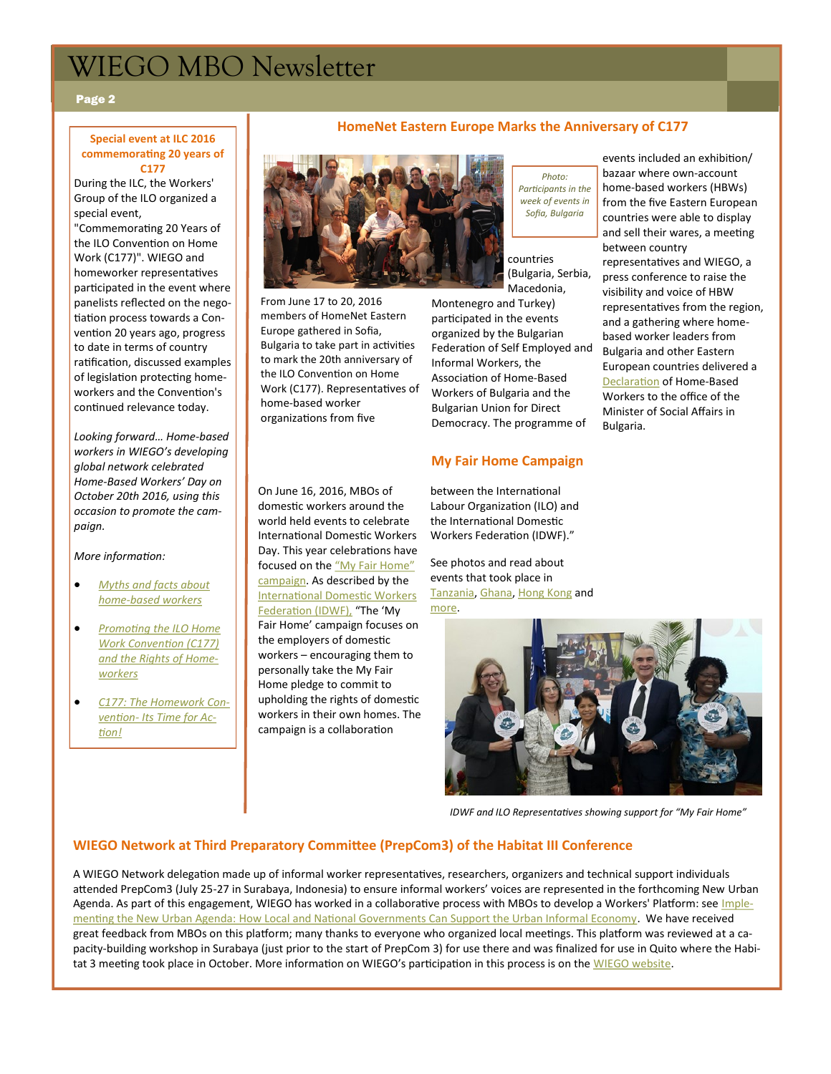## WIEGO MBO Newsletter

#### Page 2

#### **Special event at ILC 2016 commemorating 20 years of C177**

During the ILC, the Workers' Group of the ILO organized a special event,

"Commemorating 20 Years of the ILO Convention on Home Work (C177)". WIEGO and homeworker representatives participated in the event where panelists reflected on the negotiation process towards a Convention 20 years ago, progress to date in terms of country ratification, discussed examples of legislation protecting homeworkers and the Convention's continued relevance today.

*Looking forward… Home-based workers in WIEGO's developing global network celebrated Home-Based Workers' Day on October 20th 2016, using this occasion to promote the campaign.* 

#### *More information:*

- *[Myths and facts about](http://tinyurl.com/hhfcjle)  home-[based workers](http://tinyurl.com/hhfcjle)*
- *[Promoting the ILO Home](http://tinyurl.com/jphkx7r)  [Work Convention \(C177\)](http://tinyurl.com/jphkx7r)  [and the Rights of Home](http://tinyurl.com/jphkx7r)[workers](http://tinyurl.com/jphkx7r)*
- *[C177: The Homework Con](http://wiego.org/organizing/c177-homework-convention)vention- [Its Time for Ac](http://wiego.org/organizing/c177-homework-convention)[tion!](http://wiego.org/organizing/c177-homework-convention)*

#### **HomeNet Eastern Europe Marks the Anniversary of C177**



From June 17 to 20, 2016 members of HomeNet Eastern Europe gathered in Sofia, Bulgaria to take part in activities to mark the 20th anniversary of the ILO Convention on Home Work (C177). Representatives of home-based worker organizations from five

On June 16, 2016, MBOs of domestic workers around the world held events to celebrate International Domestic Workers Day. This year celebrations have focused on the "My Fair Home" [campaign.](http://www.idwfed.org/myfairhome) As described by the [International Domestic Workers](http://tinyurl.com/h6bmw4n)  [Federation \(IDWF\),](http://tinyurl.com/h6bmw4n) "The 'My Fair Home' campaign focuses on the employers of domestic workers – encouraging them to personally take the My Fair Home pledge to commit to upholding the rights of domestic workers in their own homes. The campaign is a collaboration

*Photo: Participants in the week of events in Sofia, Bulgaria*

countries (Bulgaria, Serbia, Macedonia,

Montenegro and Turkey) participated in the events organized by the Bulgarian Federation of Self Employed and Informal Workers, the Association of Home-Based Workers of Bulgaria and the Bulgarian Union for Direct Democracy. The programme of

#### **My Fair Home Campaign**

between the International Labour Organization (ILO) and the International Domestic Workers Federation (IDWF)."

See photos and read about events that took place in [Tanzania,](http://tinyurl.com/hpb2e68) [Ghana,](http://tinyurl.com/j4yb6wa) [Hong Kong](http://tinyurl.com/z2uxpmz) and [more.](http://www.idwfed.org/en/activities/my-fair-home)



*IDWF and ILO Representatives showing support for "My Fair Home"* 

#### **WIEGO Network at Third Preparatory Committee (PrepCom3) of the Habitat III Conference**

A WIEGO Network delegation made up of informal worker representatives, researchers, organizers and technical support individuals attended PrepCom3 (July 25-27 in Surabaya, Indonesia) to ensure informal workers' voices are represented in the forthcoming New Urban Agenda. As part of this engagement, WIEGO has worked in a collaborative process with MBOs to develop a Workers' Platform: see [Imple](http://wiego.org/resources/implementing-new-urban-agenda)[menting the New Urban Agenda: How Local and National Governments Can Support the Urban Informal Economy.](http://wiego.org/resources/implementing-new-urban-agenda) We have received great feedback from MBOs on this platform; many thanks to everyone who organized local meetings. This platform was reviewed at a capacity-building workshop in Surabaya (just prior to the start of PrepCom 3) for use there and was finalized for use in Quito where the Habi-tat 3 meeting took place in October. More information on WIEGO's participation in this process is on the [WIEGO website.](http://wiego.org/cities/habitat-iii)

bazaar where own-account home-based workers (HBWs) from the five Eastern European countries were able to display and sell their wares, a meeting between country representatives and WIEGO, a press conference to raise the visibility and voice of HBW representatives from the region, and a gathering where homebased worker leaders from Bulgaria and other Eastern European countries delivered a [Declaration](http://wiego.org/sites/wiego.org/files/resources/files/Declaration-HBW-Sofia-June-2016.pdf) of Home-Based Workers to the office of the Minister of Social Affairs in Bulgaria.

events included an exhibition/